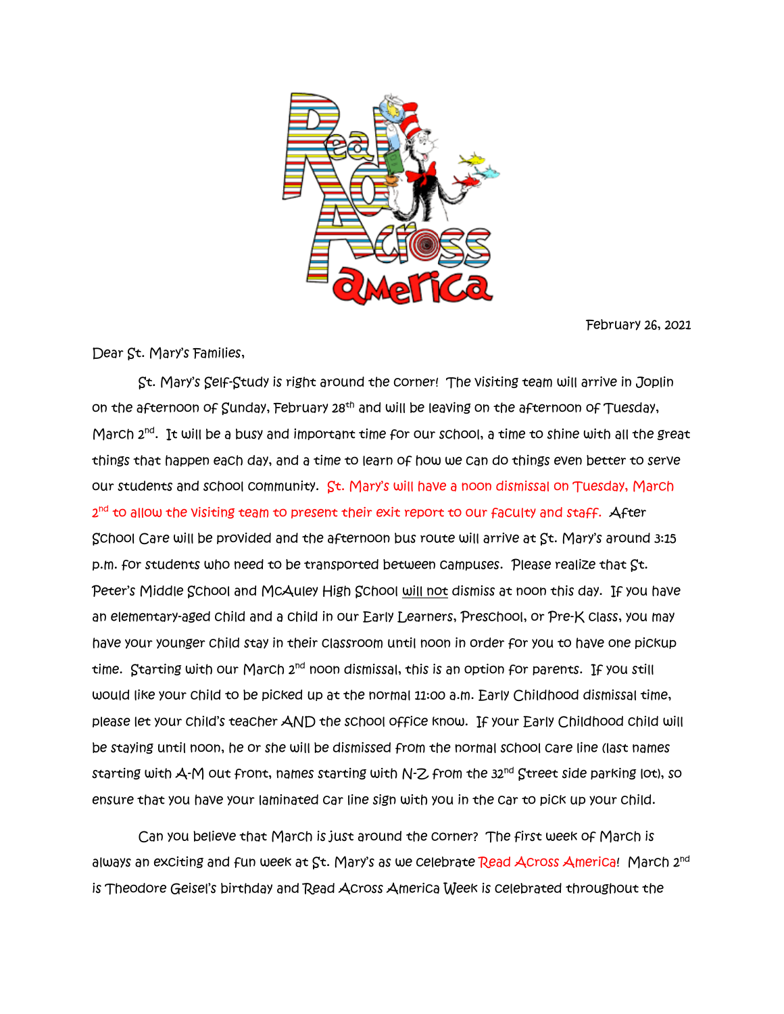

February 26, 2021

Dear St. Mary's Families,

St. Mary's Self-Study is right around the corner! The visiting team will arrive in Joplin on the afternoon of Sunday, February 28<sup>th</sup> and will be leaving on the afternoon of Tuesday, March 2<sup>nd</sup>. It will be a busy and important time for our school, a time to shine with all the great things that happen each day, and a time to learn of how we can do things even better to serve our students and school community. St. Mary's will have a noon dismissal on Tuesday, March 2<sup>nd</sup> to allow the visiting team to present their exit report to our faculty and staff. After School Care will be provided and the afternoon bus route will arrive at St. Mary's around 3:15 p.m. for students who need to be transported between campuses. Please realize that St. Peter's Middle School and McAuley High School will not dismiss at noon this day. If you have an elementary-aged child and a child in our Early Learners, Preschool, or Pre-K class, you may have your younger child stay in their classroom until noon in order for you to have one pickup time. Starting with our March 2<sup>nd</sup> noon dismissal, this is an option for parents. If you still would like your child to be picked up at the normal 11:00 a.m. Early Childhood dismissal time, please let your child's teacher AND the school office know. If your Early Childhood child will be staying until noon, he or she will be dismissed from the normal school care line (last names starting with  $A-M$  out front, names starting with N-Z from the 32<sup>nd</sup> Street side parking lot), so ensure that you have your laminated car line sign with you in the car to pick up your child.

 Can you believe that March is just around the corner? The first week of March is always an exciting and fun week at  $St.$  Mary's as we celebrate Read Across America! March  $2^{nd}$ is Theodore Geisel's birthday and Read Across America Week is celebrated throughout the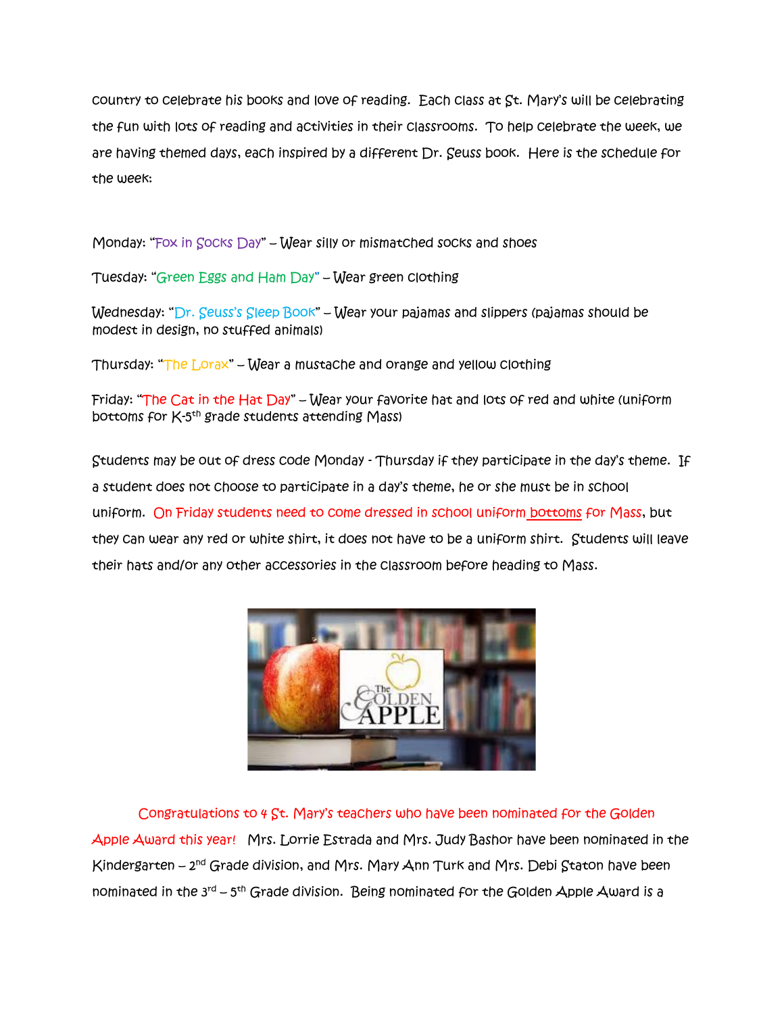country to celebrate his books and love of reading. Each class at St. Mary's will be celebrating the fun with lots of reading and activities in their classrooms. To help celebrate the week, we are having themed days, each inspired by a different Dr. Seuss book. Here is the schedule for the week:

Monday: "Fox in  $Socks$  Day" – Wear silly or mismatched socks and shoes

Tuesday: "Green Eggs and Ham Day" – Wear green clothing

Wednesday: "Dr. Seuss's Sleep Book" – Wear your pajamas and slippers (pajamas should be modest in design, no stuffed animals)

Thursday: "The Lorax" – Wear a mustache and orange and yellow clothing

Friday: "The Cat in the Hat Day" – Wear your favorite hat and lots of red and white (uniform bo<del>tt</del>oms for K-5<sup>th</sup> grade students attending Mass)

Students may be out of dress code Monday - Thursday if they participate in the day's theme. If a student does not choose to participate in a day's theme, he or she must be in school uniform. On Friday students need to come dressed in school uniform bottoms for Mass, but they can wear any red or white shirt, it does not have to be a uniform shirt. Students will leave their hats and/or any other accessories in the classroom before heading to Mass.



 Congratulations to 4 St. Mary's teachers who have been nominated for the Golden Apple Award this year! Mrs. Lorrie Estrada and Mrs. Judy Bashor have been nominated in the Kindergarten – 2<sup>nd</sup> Grade division, and Mrs. Mary Ann Turk and Mrs. Debi Staton have been nominated in the 3<sup>rd</sup> – 5<sup>th</sup> Grade division. Being nominated for the Golden Apple Award is a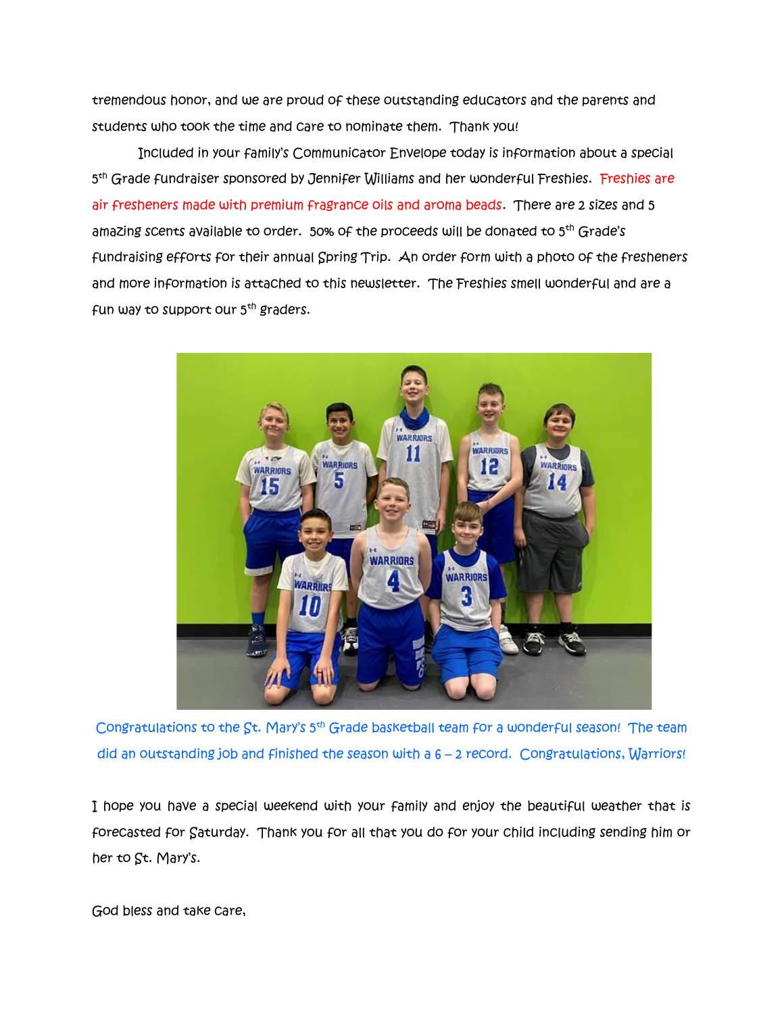tremendous honor, and we are proud of these outstanding educators and the parents and students who took the time and care to nominate them. Thank you!

 Included in your family's Communicator Envelope today is information about a special 5<sup>th</sup> Grade fundraiser sponsored by Jennifer Williams and her wonderful Freshies. <del>Fres</del>hies are air fresheners made with premium fragrance oils and aroma beads. There are 2 sizes and 5 amazing scents available to order. 50% of the proceeds will be donated to 5<sup>th</sup> Grade's fundraising efforts for their annual Spring Trip. An order form with a photo of the fresheners and more information is attached to this newsletter. The Freshies smell wonderful and are a fun way to support our  $5<sup>th</sup>$  graders.



Congratulations to the St. Mary's 5<sup>th</sup> Grade basketball team for a wonderful season! The team did an outstanding job and finished the season with a 6 – 2 record. Congratulations, Warriors!

I hope you have a special weekend with your family and enjoy the beautiful weather that is forecasted for Saturday. Thank you for all that you do for your child including sending him or her to St. Mary's.

God bless and take care,